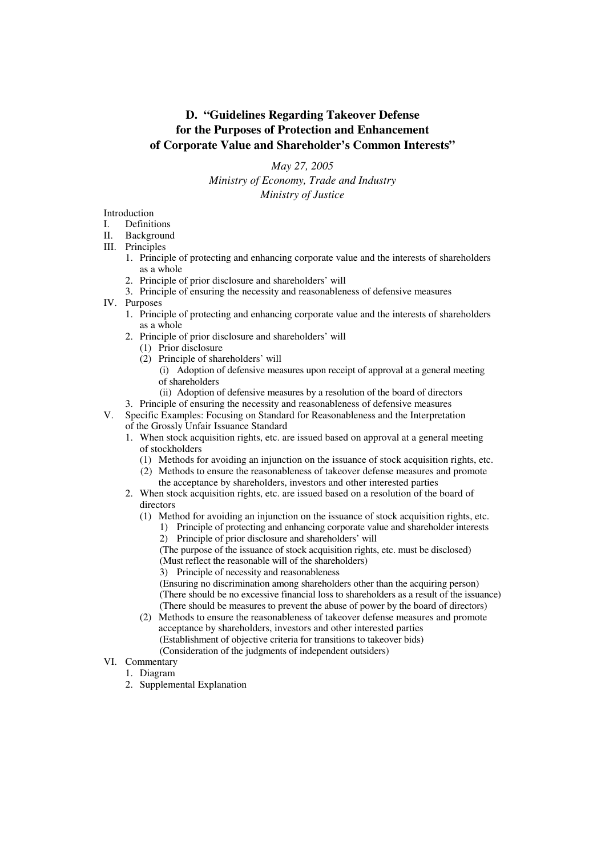# **D. "Guidelines Regarding Takeover Defense for the Purposes of Protection and Enhancement of Corporate Value and Shareholder's Common Interests"**

*May 27, 2005 Ministry of Economy, Trade and Industry Ministry of Justice*

## Introduction

- I. Definitions
- II. Background
- III. Principles
	- 1. Principle of protecting and enhancing corporate value and the interests of shareholders as a whole
	- 2. Principle of prior disclosure and shareholders' will
	- 3. Principle of ensuring the necessity and reasonableness of defensive measures
- IV. Purposes
	- 1. Principle of protecting and enhancing corporate value and the interests of shareholders as a whole
	- 2. Principle of prior disclosure and shareholders' will
		- (1) Prior disclosure
		- (2) Principle of shareholders' will
			- (i) Adoption of defensive measures upon receipt of approval at a general meeting of shareholders
			- (ii) Adoption of defensive measures by a resolution of the board of directors
	- 3. Principle of ensuring the necessity and reasonableness of defensive measures
- V. Specific Examples: Focusing on Standard for Reasonableness and the Interpretation of the Grossly Unfair Issuance Standard
	- 1. When stock acquisition rights, etc. are issued based on approval at a general meeting of stockholders
		- (1) Methods for avoiding an injunction on the issuance of stock acquisition rights, etc. (2) Methods to ensure the reasonableness of takeover defense measures and promote
		- the acceptance by shareholders, investors and other interested parties
	- 2. When stock acquisition rights, etc. are issued based on a resolution of the board of directors
		- (1) Method for avoiding an injunction on the issuance of stock acquisition rights, etc.
			- 1) Principle of protecting and enhancing corporate value and shareholder interests 2) Principle of prior disclosure and shareholders' will

(The purpose of the issuance of stock acquisition rights, etc. must be disclosed) (Must reflect the reasonable will of the shareholders)

3) Principle of necessity and reasonableness

(Ensuring no discrimination among shareholders other than the acquiring person) (There should be no excessive financial loss to shareholders as a result of the issuance) (There should be measures to prevent the abuse of power by the board of directors)

- (2) Methods to ensure the reasonableness of takeover defense measures and promote acceptance by shareholders, investors and other interested parties (Establishment of objective criteria for transitions to takeover bids) (Consideration of the judgments of independent outsiders)
- VI. Commentary
	- 1. Diagram
	- 2. Supplemental Explanation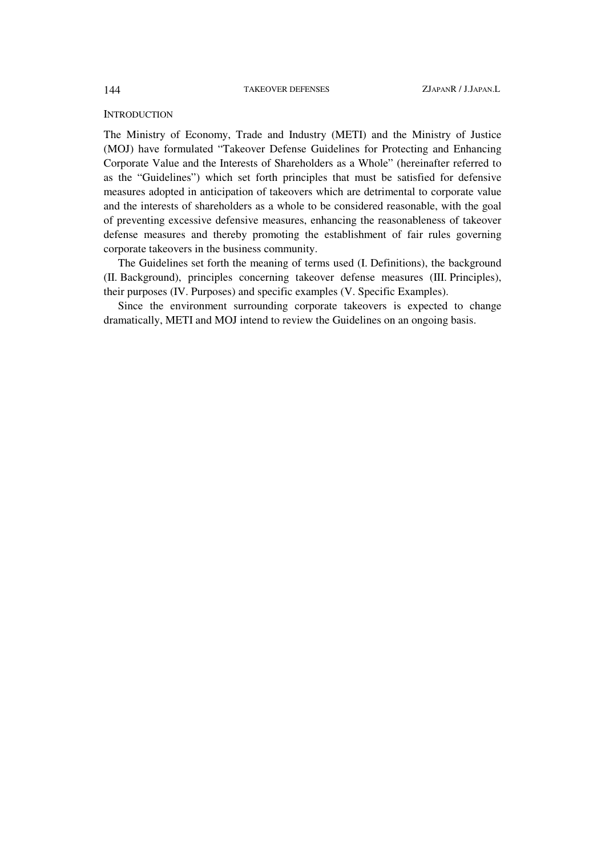## **INTRODUCTION**

The Ministry of Economy, Trade and Industry (METI) and the Ministry of Justice (MOJ) have formulated "Takeover Defense Guidelines for Protecting and Enhancing Corporate Value and the Interests of Shareholders as a Whole" (hereinafter referred to as the "Guidelines") which set forth principles that must be satisfied for defensive measures adopted in anticipation of takeovers which are detrimental to corporate value and the interests of shareholders as a whole to be considered reasonable, with the goal of preventing excessive defensive measures, enhancing the reasonableness of takeover defense measures and thereby promoting the establishment of fair rules governing corporate takeovers in the business community.

The Guidelines set forth the meaning of terms used (I. Definitions), the background (II. Background), principles concerning takeover defense measures (III. Principles), their purposes (IV. Purposes) and specific examples (V. Specific Examples).

Since the environment surrounding corporate takeovers is expected to change dramatically, METI and MOJ intend to review the Guidelines on an ongoing basis.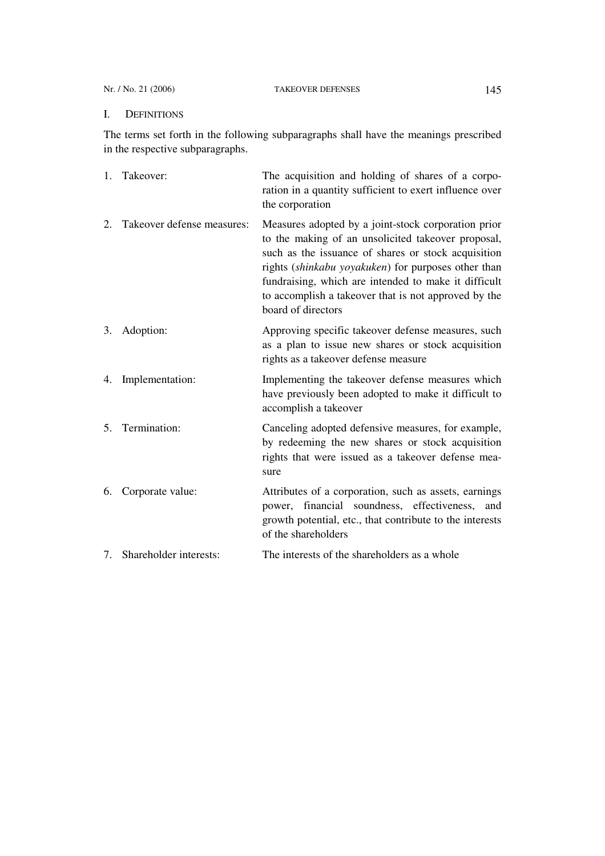# I. DEFINITIONS

The terms set forth in the following subparagraphs shall have the meanings prescribed in the respective subparagraphs.

|    | 1. Takeover:               | The acquisition and holding of shares of a corpo-<br>ration in a quantity sufficient to exert influence over<br>the corporation                                                                                                                                                                                                                               |
|----|----------------------------|---------------------------------------------------------------------------------------------------------------------------------------------------------------------------------------------------------------------------------------------------------------------------------------------------------------------------------------------------------------|
| 2. | Takeover defense measures: | Measures adopted by a joint-stock corporation prior<br>to the making of an unsolicited takeover proposal,<br>such as the issuance of shares or stock acquisition<br>rights (shinkabu yoyakuken) for purposes other than<br>fundraising, which are intended to make it difficult<br>to accomplish a takeover that is not approved by the<br>board of directors |
| 3. | Adoption:                  | Approving specific takeover defense measures, such<br>as a plan to issue new shares or stock acquisition<br>rights as a takeover defense measure                                                                                                                                                                                                              |
| 4. | Implementation:            | Implementing the takeover defense measures which<br>have previously been adopted to make it difficult to<br>accomplish a takeover                                                                                                                                                                                                                             |
| 5. | Termination:               | Canceling adopted defensive measures, for example,<br>by redeeming the new shares or stock acquisition<br>rights that were issued as a takeover defense mea-<br>sure                                                                                                                                                                                          |
| 6. | Corporate value:           | Attributes of a corporation, such as assets, earnings<br>power, financial soundness, effectiveness,<br>and<br>growth potential, etc., that contribute to the interests<br>of the shareholders                                                                                                                                                                 |
| 7. | Shareholder interests:     | The interests of the shareholders as a whole                                                                                                                                                                                                                                                                                                                  |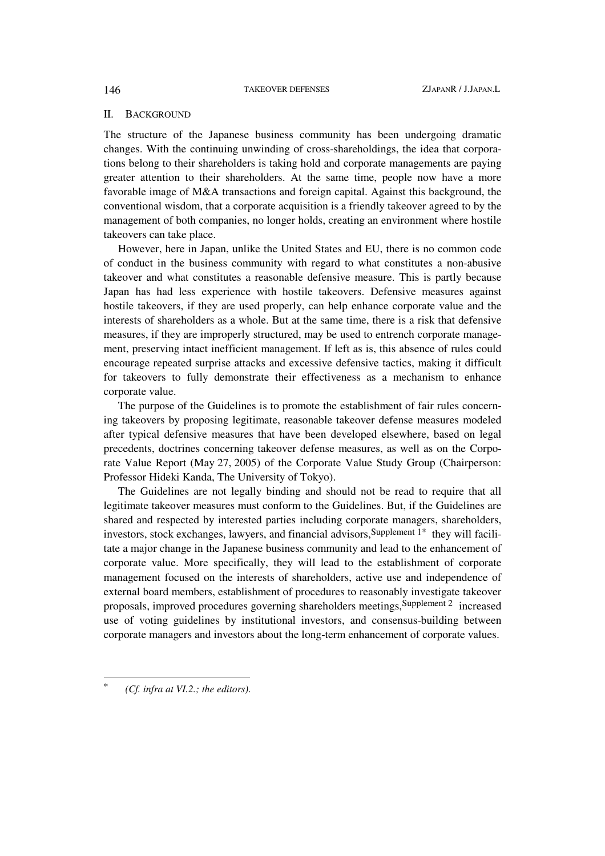## II. BACKGROUND

The structure of the Japanese business community has been undergoing dramatic changes. With the continuing unwinding of cross-shareholdings, the idea that corporations belong to their shareholders is taking hold and corporate managements are paying greater attention to their shareholders. At the same time, people now have a more favorable image of M&A transactions and foreign capital. Against this background, the conventional wisdom, that a corporate acquisition is a friendly takeover agreed to by the management of both companies, no longer holds, creating an environment where hostile takeovers can take place.

However, here in Japan, unlike the United States and EU, there is no common code of conduct in the business community with regard to what constitutes a non-abusive takeover and what constitutes a reasonable defensive measure. This is partly because Japan has had less experience with hostile takeovers. Defensive measures against hostile takeovers, if they are used properly, can help enhance corporate value and the interests of shareholders as a whole. But at the same time, there is a risk that defensive measures, if they are improperly structured, may be used to entrench corporate management, preserving intact inefficient management. If left as is, this absence of rules could encourage repeated surprise attacks and excessive defensive tactics, making it difficult for takeovers to fully demonstrate their effectiveness as a mechanism to enhance corporate value.

The purpose of the Guidelines is to promote the establishment of fair rules concerning takeovers by proposing legitimate, reasonable takeover defense measures modeled after typical defensive measures that have been developed elsewhere, based on legal precedents, doctrines concerning takeover defense measures, as well as on the Corporate Value Report (May 27, 2005) of the Corporate Value Study Group (Chairperson: Professor Hideki Kanda, The University of Tokyo).

The Guidelines are not legally binding and should not be read to require that all legitimate takeover measures must conform to the Guidelines. But, if the Guidelines are shared and respected by interested parties including corporate managers, shareholders, investors, stock exchanges, lawyers, and financial advisors, Supplement 1<sup>\*</sup> they will facilitate a major change in the Japanese business community and lead to the enhancement of corporate value. More specifically, they will lead to the establishment of corporate management focused on the interests of shareholders, active use and independence of external board members, establishment of procedures to reasonably investigate takeover proposals, improved procedures governing shareholders meetings, Supplement 2 increased use of voting guidelines by institutional investors, and consensus-building between corporate managers and investors about the long-term enhancement of corporate values.

<sup>\*</sup> *(Cf. infra at VI.2.; the editors)*.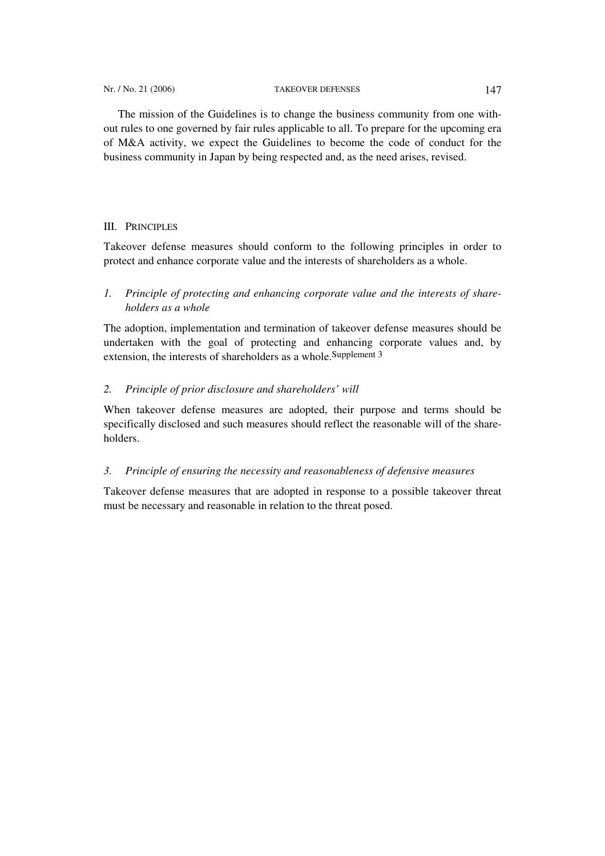## Nr. / No. 21 (2006) TAKEOVER DEFENSES 147

The mission of the Guidelines is to change the business community from one without rules to one governed by fair rules applicable to all. To prepare for the upcoming era of M&A activity, we expect the Guidelines to become the code of conduct for the business community in Japan by being respected and, as the need arises, revised.

# III. PRINCIPLES

Takeover defense measures should conform to the following principles in order to protect and enhance corporate value and the interests of shareholders as a whole.

# *1. Principle of protecting and enhancing corporate value and the interests of shareholders as a whole*

The adoption, implementation and termination of takeover defense measures should be undertaken with the goal of protecting and enhancing corporate values and, by extension, the interests of shareholders as a whole. Supplement 3

## *2. Principle of prior disclosure and shareholders' will*

When takeover defense measures are adopted, their purpose and terms should be specifically disclosed and such measures should reflect the reasonable will of the shareholders.

# *3. Principle of ensuring the necessity and reasonableness of defensive measures*

Takeover defense measures that are adopted in response to a possible takeover threat must be necessary and reasonable in relation to the threat posed.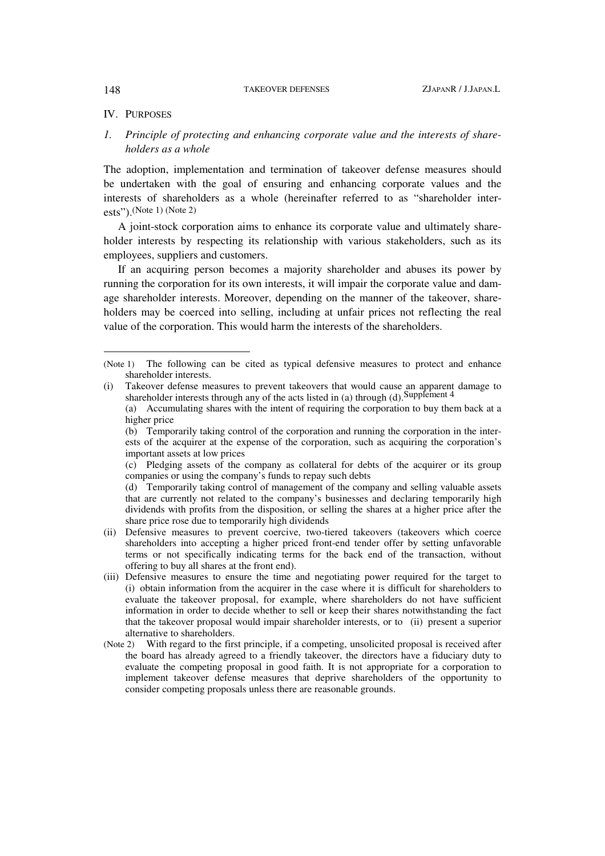## IV. PURPOSES

# *1. Principle of protecting and enhancing corporate value and the interests of shareholders as a whole*

The adoption, implementation and termination of takeover defense measures should be undertaken with the goal of ensuring and enhancing corporate values and the interests of shareholders as a whole (hereinafter referred to as "shareholder interests"). (Note 1) (Note 2)

A joint-stock corporation aims to enhance its corporate value and ultimately shareholder interests by respecting its relationship with various stakeholders, such as its employees, suppliers and customers.

If an acquiring person becomes a majority shareholder and abuses its power by running the corporation for its own interests, it will impair the corporate value and damage shareholder interests. Moreover, depending on the manner of the takeover, shareholders may be coerced into selling, including at unfair prices not reflecting the real value of the corporation. This would harm the interests of the shareholders.

<sup>(</sup>Note 1) The following can be cited as typical defensive measures to protect and enhance shareholder interests.

<sup>(</sup>i) Takeover defense measures to prevent takeovers that would cause an apparent damage to shareholder interests through any of the acts listed in (a) through (d). Supplement  $4$ (a) Accumulating shares with the intent of requiring the corporation to buy them back at a higher price

<sup>(</sup>b) Temporarily taking control of the corporation and running the corporation in the interests of the acquirer at the expense of the corporation, such as acquiring the corporation's important assets at low prices

<sup>(</sup>c) Pledging assets of the company as collateral for debts of the acquirer or its group companies or using the company's funds to repay such debts

<sup>(</sup>d) Temporarily taking control of management of the company and selling valuable assets that are currently not related to the company's businesses and declaring temporarily high dividends with profits from the disposition, or selling the shares at a higher price after the share price rose due to temporarily high dividends

<sup>(</sup>ii) Defensive measures to prevent coercive, two-tiered takeovers (takeovers which coerce shareholders into accepting a higher priced front-end tender offer by setting unfavorable terms or not specifically indicating terms for the back end of the transaction, without offering to buy all shares at the front end).

<sup>(</sup>iii) Defensive measures to ensure the time and negotiating power required for the target to (i) obtain information from the acquirer in the case where it is difficult for shareholders to evaluate the takeover proposal, for example, where shareholders do not have sufficient information in order to decide whether to sell or keep their shares notwithstanding the fact that the takeover proposal would impair shareholder interests, or to (ii) present a superior alternative to shareholders.

<sup>(</sup>Note 2) With regard to the first principle, if a competing, unsolicited proposal is received after the board has already agreed to a friendly takeover, the directors have a fiduciary duty to evaluate the competing proposal in good faith. It is not appropriate for a corporation to implement takeover defense measures that deprive shareholders of the opportunity to consider competing proposals unless there are reasonable grounds.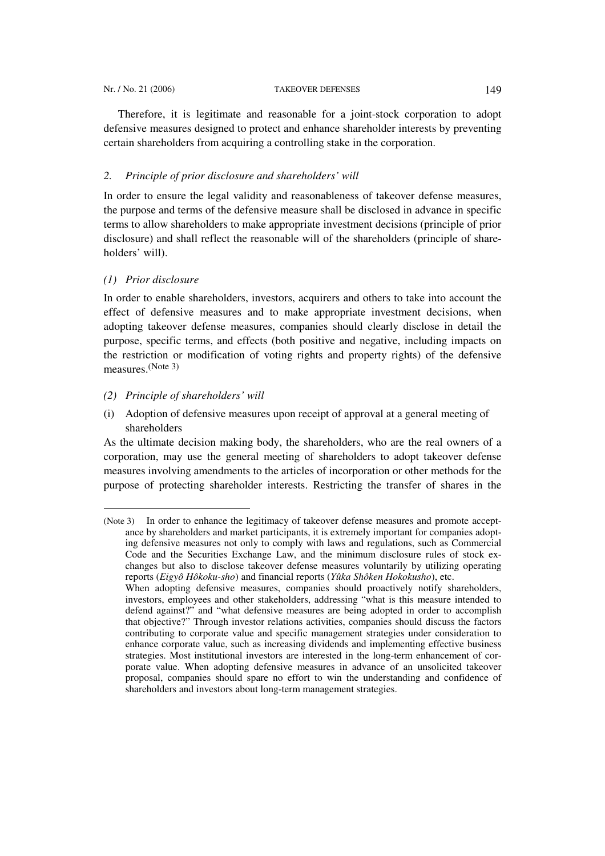Therefore, it is legitimate and reasonable for a joint-stock corporation to adopt defensive measures designed to protect and enhance shareholder interests by preventing certain shareholders from acquiring a controlling stake in the corporation.

# *2. Principle of prior disclosure and shareholders' will*

In order to ensure the legal validity and reasonableness of takeover defense measures, the purpose and terms of the defensive measure shall be disclosed in advance in specific terms to allow shareholders to make appropriate investment decisions (principle of prior disclosure) and shall reflect the reasonable will of the shareholders (principle of shareholders' will).

## *(1) Prior disclosure*

 $\overline{a}$ 

In order to enable shareholders, investors, acquirers and others to take into account the effect of defensive measures and to make appropriate investment decisions, when adopting takeover defense measures, companies should clearly disclose in detail the purpose, specific terms, and effects (both positive and negative, including impacts on the restriction or modification of voting rights and property rights) of the defensive measures.(Note 3)

- *(2) Principle of shareholders' will*
- (i) Adoption of defensive measures upon receipt of approval at a general meeting of shareholders

As the ultimate decision making body, the shareholders, who are the real owners of a corporation, may use the general meeting of shareholders to adopt takeover defense measures involving amendments to the articles of incorporation or other methods for the purpose of protecting shareholder interests. Restricting the transfer of shares in the

<sup>(</sup>Note 3) In order to enhance the legitimacy of takeover defense measures and promote acceptance by shareholders and market participants, it is extremely important for companies adopting defensive measures not only to comply with laws and regulations, such as Commercial Code and the Securities Exchange Law, and the minimum disclosure rules of stock exchanges but also to disclose takeover defense measures voluntarily by utilizing operating reports (*Eigyô Hôkoku-sho*) and financial reports (*Yûka Shôken Hokokusho*), etc. When adopting defensive measures, companies should proactively notify shareholders,

investors, employees and other stakeholders, addressing "what is this measure intended to defend against?" and "what defensive measures are being adopted in order to accomplish that objective?" Through investor relations activities, companies should discuss the factors contributing to corporate value and specific management strategies under consideration to enhance corporate value, such as increasing dividends and implementing effective business strategies. Most institutional investors are interested in the long-term enhancement of corporate value. When adopting defensive measures in advance of an unsolicited takeover proposal, companies should spare no effort to win the understanding and confidence of shareholders and investors about long-term management strategies.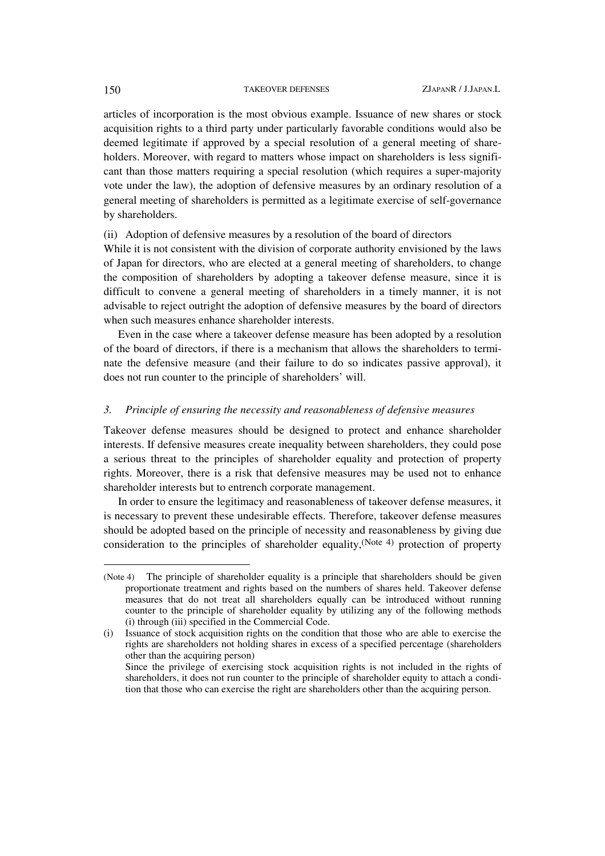articles of incorporation is the most obvious example. Issuance of new shares or stock acquisition rights to a third party under particularly favorable conditions would also be deemed legitimate if approved by a special resolution of a general meeting of shareholders. Moreover, with regard to matters whose impact on shareholders is less significant than those matters requiring a special resolution (which requires a super-majority vote under the law), the adoption of defensive measures by an ordinary resolution of a general meeting of shareholders is permitted as a legitimate exercise of self-governance by shareholders.

(ii) Adoption of defensive measures by a resolution of the board of directors

While it is not consistent with the division of corporate authority envisioned by the laws of Japan for directors, who are elected at a general meeting of shareholders, to change the composition of shareholders by adopting a takeover defense measure, since it is difficult to convene a general meeting of shareholders in a timely manner, it is not advisable to reject outright the adoption of defensive measures by the board of directors when such measures enhance shareholder interests.

Even in the case where a takeover defense measure has been adopted by a resolution of the board of directors, if there is a mechanism that allows the shareholders to terminate the defensive measure (and their failure to do so indicates passive approval), it does not run counter to the principle of shareholders' will.

## *3. Principle of ensuring the necessity and reasonableness of defensive measures*

Takeover defense measures should be designed to protect and enhance shareholder interests. If defensive measures create inequality between shareholders, they could pose a serious threat to the principles of shareholder equality and protection of property rights. Moreover, there is a risk that defensive measures may be used not to enhance shareholder interests but to entrench corporate management.

In order to ensure the legitimacy and reasonableness of takeover defense measures, it is necessary to prevent these undesirable effects. Therefore, takeover defense measures should be adopted based on the principle of necessity and reasonableness by giving due consideration to the principles of shareholder equality,  $(Note 4)$  protection of property

<sup>(</sup>Note 4) The principle of shareholder equality is a principle that shareholders should be given proportionate treatment and rights based on the numbers of shares held. Takeover defense measures that do not treat all shareholders equally can be introduced without running counter to the principle of shareholder equality by utilizing any of the following methods (i) through (iii) specified in the Commercial Code.

<sup>(</sup>i) Issuance of stock acquisition rights on the condition that those who are able to exercise the rights are shareholders not holding shares in excess of a specified percentage (shareholders other than the acquiring person) Since the privilege of exercising stock acquisition rights is not included in the rights of shareholders, it does not run counter to the principle of shareholder equity to attach a condition that those who can exercise the right are shareholders other than the acquiring person.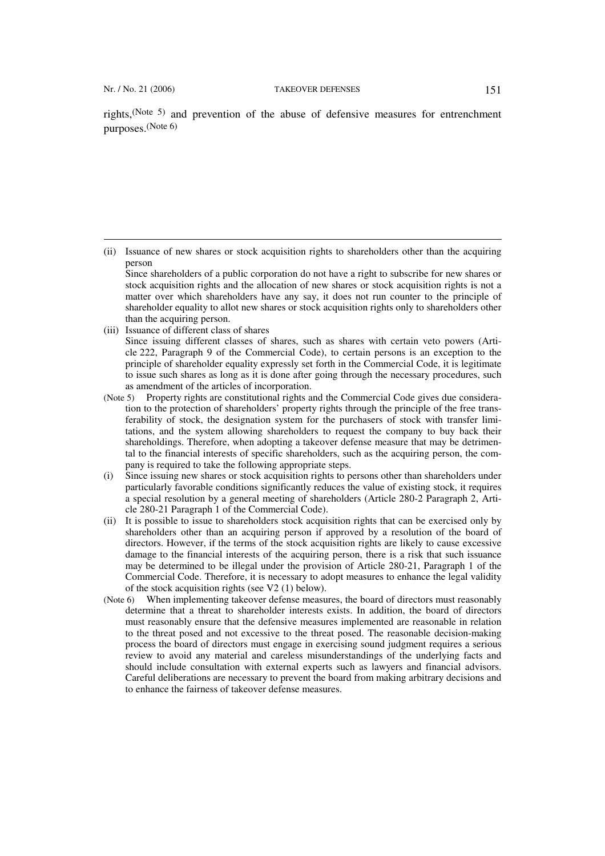$\overline{a}$ 

rights,(Note 5) and prevention of the abuse of defensive measures for entrenchment purposes.(Note 6)

(ii) Issuance of new shares or stock acquisition rights to shareholders other than the acquiring person

 Since shareholders of a public corporation do not have a right to subscribe for new shares or stock acquisition rights and the allocation of new shares or stock acquisition rights is not a matter over which shareholders have any say, it does not run counter to the principle of shareholder equality to allot new shares or stock acquisition rights only to shareholders other than the acquiring person.

- (iii) Issuance of different class of shares Since issuing different classes of shares, such as shares with certain veto powers (Article 222, Paragraph 9 of the Commercial Code), to certain persons is an exception to the principle of shareholder equality expressly set forth in the Commercial Code, it is legitimate to issue such shares as long as it is done after going through the necessary procedures, such as amendment of the articles of incorporation.
- (Note 5) Property rights are constitutional rights and the Commercial Code gives due consideration to the protection of shareholders' property rights through the principle of the free transferability of stock, the designation system for the purchasers of stock with transfer limitations, and the system allowing shareholders to request the company to buy back their shareholdings. Therefore, when adopting a takeover defense measure that may be detrimental to the financial interests of specific shareholders, such as the acquiring person, the company is required to take the following appropriate steps.
- Since issuing new shares or stock acquisition rights to persons other than shareholders under particularly favorable conditions significantly reduces the value of existing stock, it requires a special resolution by a general meeting of shareholders (Article 280-2 Paragraph 2, Article 280-21 Paragraph 1 of the Commercial Code).
- (ii) It is possible to issue to shareholders stock acquisition rights that can be exercised only by shareholders other than an acquiring person if approved by a resolution of the board of directors. However, if the terms of the stock acquisition rights are likely to cause excessive damage to the financial interests of the acquiring person, there is a risk that such issuance may be determined to be illegal under the provision of Article 280-21, Paragraph 1 of the Commercial Code. Therefore, it is necessary to adopt measures to enhance the legal validity of the stock acquisition rights (see V2 (1) below).
- (Note 6) When implementing takeover defense measures, the board of directors must reasonably determine that a threat to shareholder interests exists. In addition, the board of directors must reasonably ensure that the defensive measures implemented are reasonable in relation to the threat posed and not excessive to the threat posed. The reasonable decision-making process the board of directors must engage in exercising sound judgment requires a serious review to avoid any material and careless misunderstandings of the underlying facts and should include consultation with external experts such as lawyers and financial advisors. Careful deliberations are necessary to prevent the board from making arbitrary decisions and to enhance the fairness of takeover defense measures.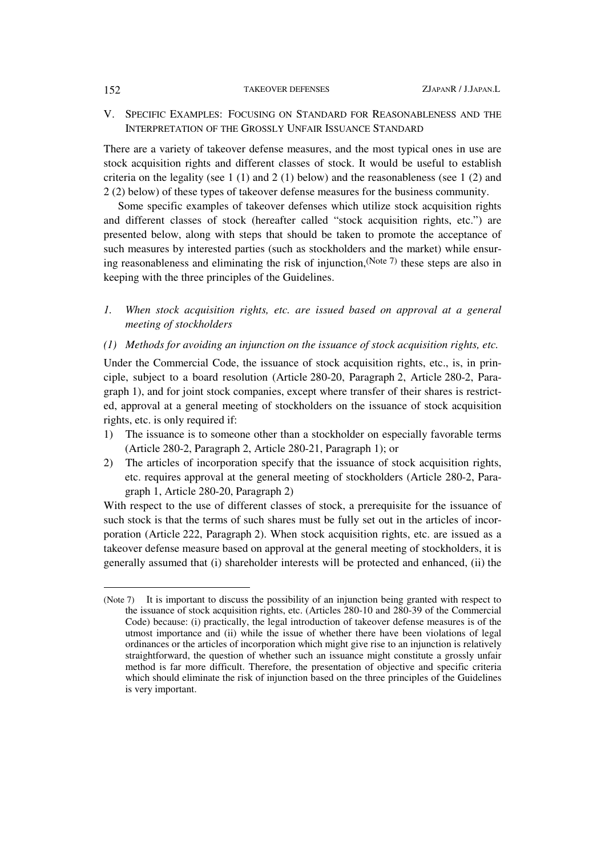V. SPECIFIC EXAMPLES: FOCUSING ON STANDARD FOR REASONABLENESS AND THE INTERPRETATION OF THE GROSSLY UNFAIR ISSUANCE STANDARD

There are a variety of takeover defense measures, and the most typical ones in use are stock acquisition rights and different classes of stock. It would be useful to establish criteria on the legality (see  $1(1)$  and  $2(1)$  below) and the reasonableness (see  $1(2)$  and 2 (2) below) of these types of takeover defense measures for the business community.

Some specific examples of takeover defenses which utilize stock acquisition rights and different classes of stock (hereafter called "stock acquisition rights, etc.") are presented below, along with steps that should be taken to promote the acceptance of such measures by interested parties (such as stockholders and the market) while ensuring reasonableness and eliminating the risk of injunction,(Note 7) these steps are also in keeping with the three principles of the Guidelines.

- *1.* When stock acquisition rights, etc. are issued based on approval at a general *meeting of stockholders*
- *(1) Methods for avoiding an injunction on the issuance of stock acquisition rights, etc.*

Under the Commercial Code, the issuance of stock acquisition rights, etc., is, in principle, subject to a board resolution (Article 280-20, Paragraph 2, Article 280-2, Paragraph 1), and for joint stock companies, except where transfer of their shares is restricted, approval at a general meeting of stockholders on the issuance of stock acquisition rights, etc. is only required if:

- 1) The issuance is to someone other than a stockholder on especially favorable terms (Article 280-2, Paragraph 2, Article 280-21, Paragraph 1); or
- 2) The articles of incorporation specify that the issuance of stock acquisition rights, etc. requires approval at the general meeting of stockholders (Article 280-2, Paragraph 1, Article 280-20, Paragraph 2)

With respect to the use of different classes of stock, a prerequisite for the issuance of such stock is that the terms of such shares must be fully set out in the articles of incorporation (Article 222, Paragraph 2). When stock acquisition rights, etc. are issued as a takeover defense measure based on approval at the general meeting of stockholders, it is generally assumed that (i) shareholder interests will be protected and enhanced, (ii) the

<sup>(</sup>Note 7) It is important to discuss the possibility of an injunction being granted with respect to the issuance of stock acquisition rights, etc. (Articles 280-10 and 280-39 of the Commercial Code) because: (i) practically, the legal introduction of takeover defense measures is of the utmost importance and (ii) while the issue of whether there have been violations of legal ordinances or the articles of incorporation which might give rise to an injunction is relatively straightforward, the question of whether such an issuance might constitute a grossly unfair method is far more difficult. Therefore, the presentation of objective and specific criteria which should eliminate the risk of injunction based on the three principles of the Guidelines is very important.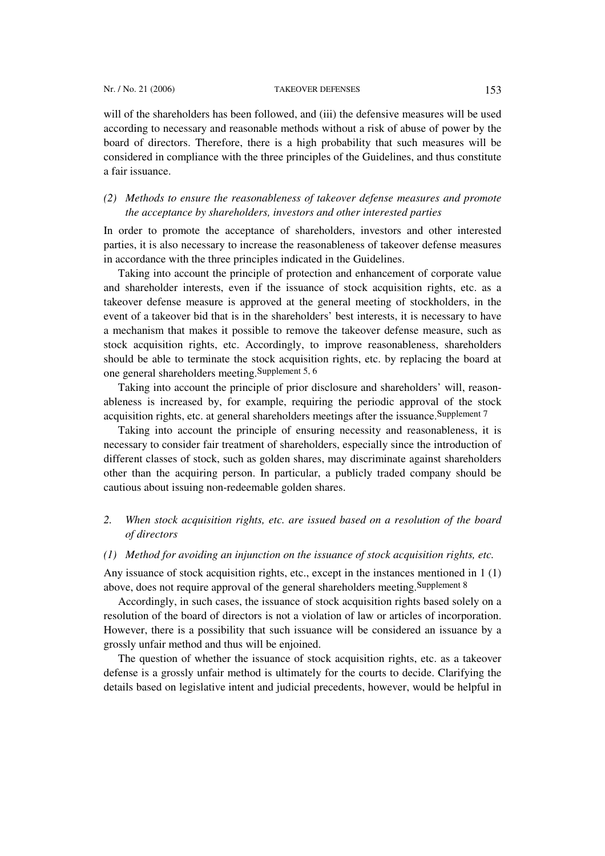will of the shareholders has been followed, and (iii) the defensive measures will be used according to necessary and reasonable methods without a risk of abuse of power by the board of directors. Therefore, there is a high probability that such measures will be considered in compliance with the three principles of the Guidelines, and thus constitute a fair issuance.

*(2) Methods to ensure the reasonableness of takeover defense measures and promote the acceptance by shareholders, investors and other interested parties* 

In order to promote the acceptance of shareholders, investors and other interested parties, it is also necessary to increase the reasonableness of takeover defense measures in accordance with the three principles indicated in the Guidelines.

Taking into account the principle of protection and enhancement of corporate value and shareholder interests, even if the issuance of stock acquisition rights, etc. as a takeover defense measure is approved at the general meeting of stockholders, in the event of a takeover bid that is in the shareholders' best interests, it is necessary to have a mechanism that makes it possible to remove the takeover defense measure, such as stock acquisition rights, etc. Accordingly, to improve reasonableness, shareholders should be able to terminate the stock acquisition rights, etc. by replacing the board at one general shareholders meeting.Supplement 5, 6

Taking into account the principle of prior disclosure and shareholders' will, reasonableness is increased by, for example, requiring the periodic approval of the stock acquisition rights, etc. at general shareholders meetings after the issuance.Supplement 7

Taking into account the principle of ensuring necessity and reasonableness, it is necessary to consider fair treatment of shareholders, especially since the introduction of different classes of stock, such as golden shares, may discriminate against shareholders other than the acquiring person. In particular, a publicly traded company should be cautious about issuing non-redeemable golden shares.

# *2. When stock acquisition rights, etc. are issued based on a resolution of the board of directors*

## *(1) Method for avoiding an injunction on the issuance of stock acquisition rights, etc.*

Any issuance of stock acquisition rights, etc., except in the instances mentioned in 1 (1) above, does not require approval of the general shareholders meeting. Supplement 8

Accordingly, in such cases, the issuance of stock acquisition rights based solely on a resolution of the board of directors is not a violation of law or articles of incorporation. However, there is a possibility that such issuance will be considered an issuance by a grossly unfair method and thus will be enjoined.

The question of whether the issuance of stock acquisition rights, etc. as a takeover defense is a grossly unfair method is ultimately for the courts to decide. Clarifying the details based on legislative intent and judicial precedents, however, would be helpful in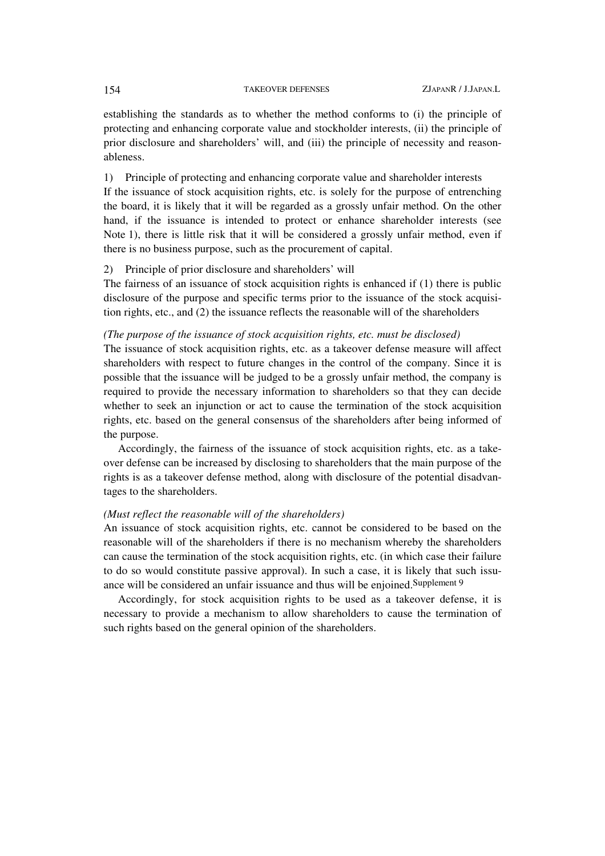establishing the standards as to whether the method conforms to (i) the principle of protecting and enhancing corporate value and stockholder interests, (ii) the principle of prior disclosure and shareholders' will, and (iii) the principle of necessity and reasonableness.

1) Principle of protecting and enhancing corporate value and shareholder interests

If the issuance of stock acquisition rights, etc. is solely for the purpose of entrenching the board, it is likely that it will be regarded as a grossly unfair method. On the other hand, if the issuance is intended to protect or enhance shareholder interests (see Note 1), there is little risk that it will be considered a grossly unfair method, even if there is no business purpose, such as the procurement of capital.

## 2) Principle of prior disclosure and shareholders' will

The fairness of an issuance of stock acquisition rights is enhanced if (1) there is public disclosure of the purpose and specific terms prior to the issuance of the stock acquisition rights, etc., and (2) the issuance reflects the reasonable will of the shareholders

# *(The purpose of the issuance of stock acquisition rights, etc. must be disclosed)*

The issuance of stock acquisition rights, etc. as a takeover defense measure will affect shareholders with respect to future changes in the control of the company. Since it is possible that the issuance will be judged to be a grossly unfair method, the company is required to provide the necessary information to shareholders so that they can decide whether to seek an injunction or act to cause the termination of the stock acquisition rights, etc. based on the general consensus of the shareholders after being informed of the purpose.

Accordingly, the fairness of the issuance of stock acquisition rights, etc. as a takeover defense can be increased by disclosing to shareholders that the main purpose of the rights is as a takeover defense method, along with disclosure of the potential disadvantages to the shareholders.

## *(Must reflect the reasonable will of the shareholders)*

An issuance of stock acquisition rights, etc. cannot be considered to be based on the reasonable will of the shareholders if there is no mechanism whereby the shareholders can cause the termination of the stock acquisition rights, etc. (in which case their failure to do so would constitute passive approval). In such a case, it is likely that such issuance will be considered an unfair issuance and thus will be enjoined. Supplement 9

Accordingly, for stock acquisition rights to be used as a takeover defense, it is necessary to provide a mechanism to allow shareholders to cause the termination of such rights based on the general opinion of the shareholders.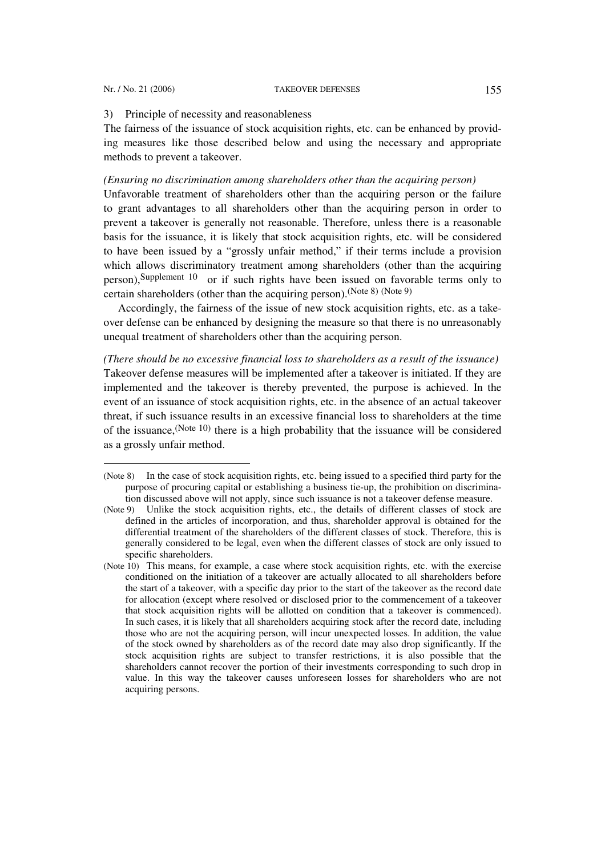$\overline{a}$ 

## Nr. / No. 21 (2006) TAKEOVER DEFENSES 155

## 3) Principle of necessity and reasonableness

The fairness of the issuance of stock acquisition rights, etc. can be enhanced by providing measures like those described below and using the necessary and appropriate methods to prevent a takeover.

## *(Ensuring no discrimination among shareholders other than the acquiring person)*

Unfavorable treatment of shareholders other than the acquiring person or the failure to grant advantages to all shareholders other than the acquiring person in order to prevent a takeover is generally not reasonable. Therefore, unless there is a reasonable basis for the issuance, it is likely that stock acquisition rights, etc. will be considered to have been issued by a "grossly unfair method," if their terms include a provision which allows discriminatory treatment among shareholders (other than the acquiring person),Supplement 10 or if such rights have been issued on favorable terms only to certain shareholders (other than the acquiring person).(Note 8) (Note 9)

Accordingly, the fairness of the issue of new stock acquisition rights, etc. as a takeover defense can be enhanced by designing the measure so that there is no unreasonably unequal treatment of shareholders other than the acquiring person.

*(There should be no excessive financial loss to shareholders as a result of the issuance)*  Takeover defense measures will be implemented after a takeover is initiated. If they are implemented and the takeover is thereby prevented, the purpose is achieved. In the event of an issuance of stock acquisition rights, etc. in the absence of an actual takeover threat, if such issuance results in an excessive financial loss to shareholders at the time of the issuance,(Note 10) there is a high probability that the issuance will be considered as a grossly unfair method.

<sup>(</sup>Note 8) In the case of stock acquisition rights, etc. being issued to a specified third party for the purpose of procuring capital or establishing a business tie-up, the prohibition on discrimination discussed above will not apply, since such issuance is not a takeover defense measure.

<sup>(</sup>Note 9) Unlike the stock acquisition rights, etc., the details of different classes of stock are defined in the articles of incorporation, and thus, shareholder approval is obtained for the differential treatment of the shareholders of the different classes of stock. Therefore, this is generally considered to be legal, even when the different classes of stock are only issued to specific shareholders.

<sup>(</sup>Note 10) This means, for example, a case where stock acquisition rights, etc. with the exercise conditioned on the initiation of a takeover are actually allocated to all shareholders before the start of a takeover, with a specific day prior to the start of the takeover as the record date for allocation (except where resolved or disclosed prior to the commencement of a takeover that stock acquisition rights will be allotted on condition that a takeover is commenced). In such cases, it is likely that all shareholders acquiring stock after the record date, including those who are not the acquiring person, will incur unexpected losses. In addition, the value of the stock owned by shareholders as of the record date may also drop significantly. If the stock acquisition rights are subject to transfer restrictions, it is also possible that the shareholders cannot recover the portion of their investments corresponding to such drop in value. In this way the takeover causes unforeseen losses for shareholders who are not acquiring persons.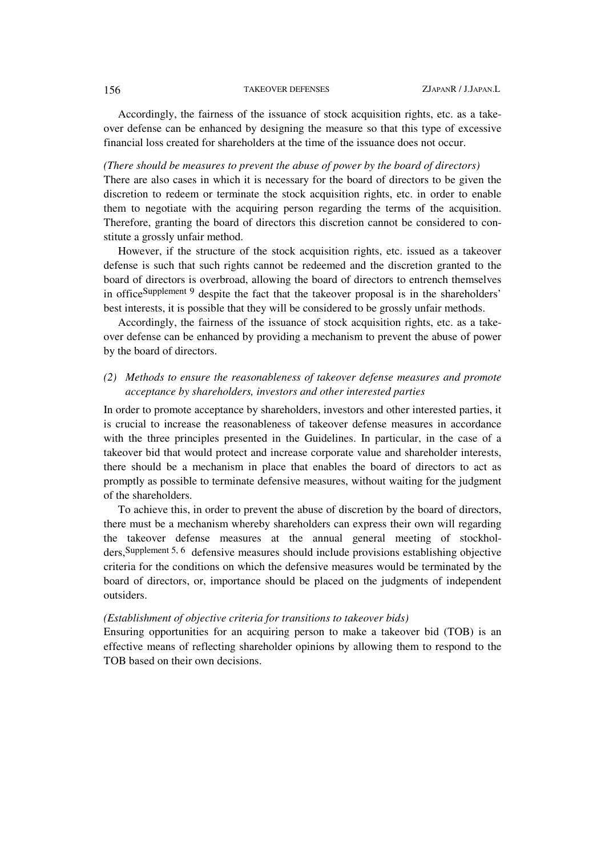Accordingly, the fairness of the issuance of stock acquisition rights, etc. as a takeover defense can be enhanced by designing the measure so that this type of excessive financial loss created for shareholders at the time of the issuance does not occur.

### *(There should be measures to prevent the abuse of power by the board of directors)*

There are also cases in which it is necessary for the board of directors to be given the discretion to redeem or terminate the stock acquisition rights, etc. in order to enable them to negotiate with the acquiring person regarding the terms of the acquisition. Therefore, granting the board of directors this discretion cannot be considered to constitute a grossly unfair method.

However, if the structure of the stock acquisition rights, etc. issued as a takeover defense is such that such rights cannot be redeemed and the discretion granted to the board of directors is overbroad, allowing the board of directors to entrench themselves in officeSupplement 9 despite the fact that the takeover proposal is in the shareholders' best interests, it is possible that they will be considered to be grossly unfair methods.

Accordingly, the fairness of the issuance of stock acquisition rights, etc. as a takeover defense can be enhanced by providing a mechanism to prevent the abuse of power by the board of directors.

# *(2) Methods to ensure the reasonableness of takeover defense measures and promote acceptance by shareholders, investors and other interested parties*

In order to promote acceptance by shareholders, investors and other interested parties, it is crucial to increase the reasonableness of takeover defense measures in accordance with the three principles presented in the Guidelines. In particular, in the case of a takeover bid that would protect and increase corporate value and shareholder interests, there should be a mechanism in place that enables the board of directors to act as promptly as possible to terminate defensive measures, without waiting for the judgment of the shareholders.

To achieve this, in order to prevent the abuse of discretion by the board of directors, there must be a mechanism whereby shareholders can express their own will regarding the takeover defense measures at the annual general meeting of stockholders,Supplement 5, 6 defensive measures should include provisions establishing objective criteria for the conditions on which the defensive measures would be terminated by the board of directors, or, importance should be placed on the judgments of independent outsiders.

## *(Establishment of objective criteria for transitions to takeover bids)*

Ensuring opportunities for an acquiring person to make a takeover bid (TOB) is an effective means of reflecting shareholder opinions by allowing them to respond to the TOB based on their own decisions.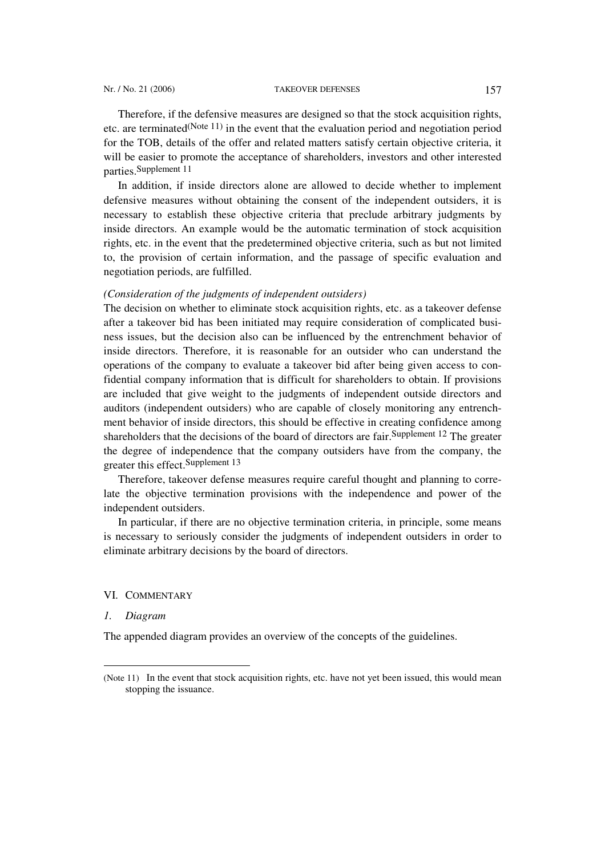Therefore, if the defensive measures are designed so that the stock acquisition rights, etc. are terminated(Note 11) in the event that the evaluation period and negotiation period for the TOB, details of the offer and related matters satisfy certain objective criteria, it will be easier to promote the acceptance of shareholders, investors and other interested parties.Supplement 11

In addition, if inside directors alone are allowed to decide whether to implement defensive measures without obtaining the consent of the independent outsiders, it is necessary to establish these objective criteria that preclude arbitrary judgments by inside directors. An example would be the automatic termination of stock acquisition rights, etc. in the event that the predetermined objective criteria, such as but not limited to, the provision of certain information, and the passage of specific evaluation and negotiation periods, are fulfilled.

## *(Consideration of the judgments of independent outsiders)*

The decision on whether to eliminate stock acquisition rights, etc. as a takeover defense after a takeover bid has been initiated may require consideration of complicated business issues, but the decision also can be influenced by the entrenchment behavior of inside directors. Therefore, it is reasonable for an outsider who can understand the operations of the company to evaluate a takeover bid after being given access to confidential company information that is difficult for shareholders to obtain. If provisions are included that give weight to the judgments of independent outside directors and auditors (independent outsiders) who are capable of closely monitoring any entrenchment behavior of inside directors, this should be effective in creating confidence among shareholders that the decisions of the board of directors are fair.Supplement 12 The greater the degree of independence that the company outsiders have from the company, the greater this effect.Supplement 13

Therefore, takeover defense measures require careful thought and planning to correlate the objective termination provisions with the independence and power of the independent outsiders.

In particular, if there are no objective termination criteria, in principle, some means is necessary to seriously consider the judgments of independent outsiders in order to eliminate arbitrary decisions by the board of directors.

# VI. COMMENTARY

## *1. Diagram*

 $\overline{a}$ 

The appended diagram provides an overview of the concepts of the guidelines.

<sup>(</sup>Note 11) In the event that stock acquisition rights, etc. have not yet been issued, this would mean stopping the issuance.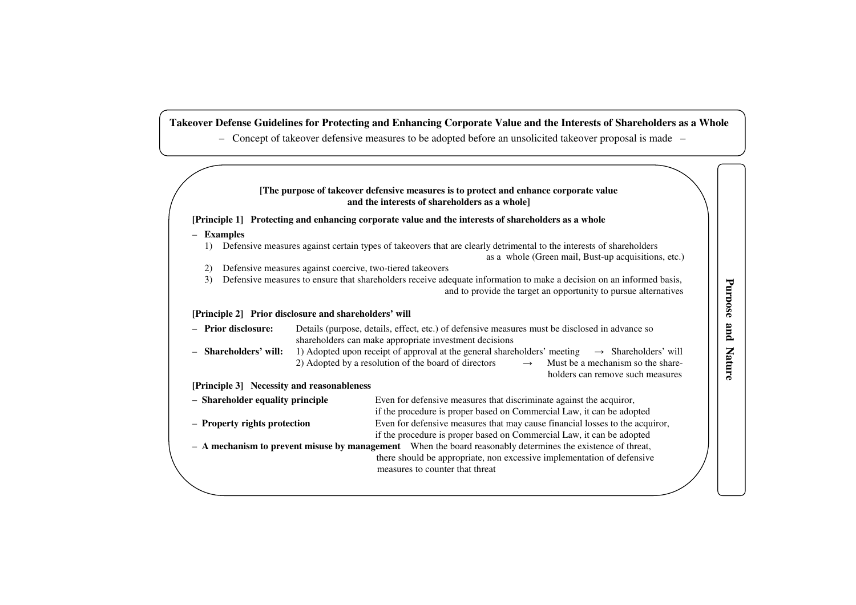# **Takeover Defense Guidelines for Protecting and Enhancing Corporate Value and the Interests of Shareholders as a Whole**

– Concept of takeover defensive measures to be adopted before an unsolicited takeover proposal is made –

|                                                                 | [The purpose of takeover defensive measures is to protect and enhance corporate value<br>and the interests of shareholders as a whole]                                                                                                                      |               |
|-----------------------------------------------------------------|-------------------------------------------------------------------------------------------------------------------------------------------------------------------------------------------------------------------------------------------------------------|---------------|
|                                                                 | [Principle 1] Protecting and enhancing corporate value and the interests of shareholders as a whole                                                                                                                                                         |               |
| <b>Examples</b>                                                 |                                                                                                                                                                                                                                                             |               |
| 1)                                                              | Defensive measures against certain types of takeovers that are clearly detrimental to the interests of shareholders                                                                                                                                         |               |
|                                                                 | as a whole (Green mail, Bust-up acquisitions, etc.)                                                                                                                                                                                                         |               |
| Defensive measures against coercive, two-tiered takeovers<br>2) |                                                                                                                                                                                                                                                             |               |
| 3)                                                              | Defensive measures to ensure that shareholders receive adequate information to make a decision on an informed basis,<br>and to provide the target an opportunity to pursue alternatives                                                                     | Purpose       |
|                                                                 | [Principle 2] Prior disclosure and shareholders' will                                                                                                                                                                                                       |               |
| <b>Prior disclosure:</b>                                        | Details (purpose, details, effect, etc.) of defensive measures must be disclosed in advance so<br>shareholders can make appropriate investment decisions                                                                                                    | pue           |
| Shareholders' will:                                             | 1) Adopted upon receipt of approval at the general shareholders' meeting $\rightarrow$ Shareholders' will<br>2) Adopted by a resolution of the board of directors<br>Must be a mechanism so the share-<br>$\rightarrow$<br>holders can remove such measures | <b>Nature</b> |
| [Principle 3] Necessity and reasonableness                      |                                                                                                                                                                                                                                                             |               |
| - Shareholder equality principle                                | Even for defensive measures that discriminate against the acquiror,<br>if the procedure is proper based on Commercial Law, it can be adopted                                                                                                                |               |
| - Property rights protection                                    | Even for defensive measures that may cause financial losses to the acquiror,<br>if the procedure is proper based on Commercial Law, it can be adopted                                                                                                       |               |
|                                                                 | - A mechanism to prevent misuse by management When the board reasonably determines the existence of threat,                                                                                                                                                 |               |
|                                                                 | there should be appropriate, non excessive implementation of defensive                                                                                                                                                                                      |               |
|                                                                 | measures to counter that threat                                                                                                                                                                                                                             |               |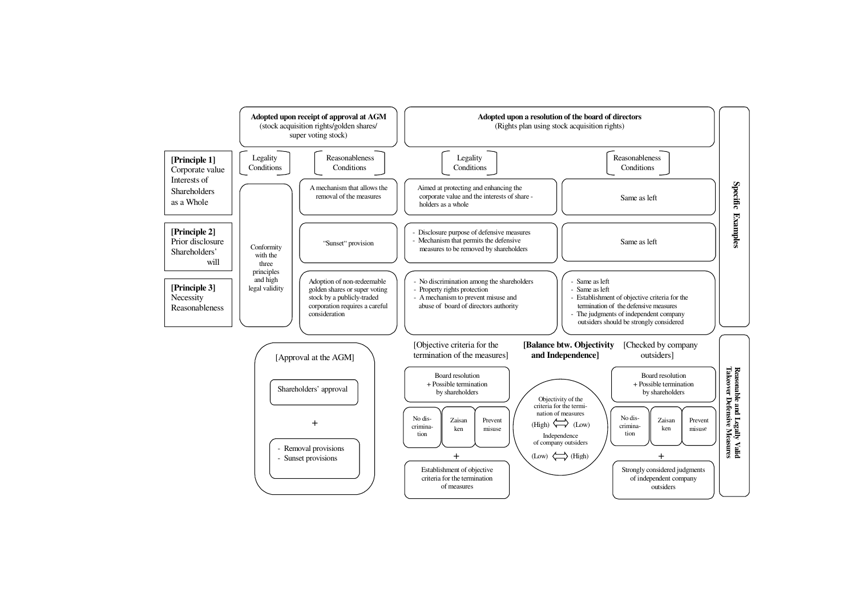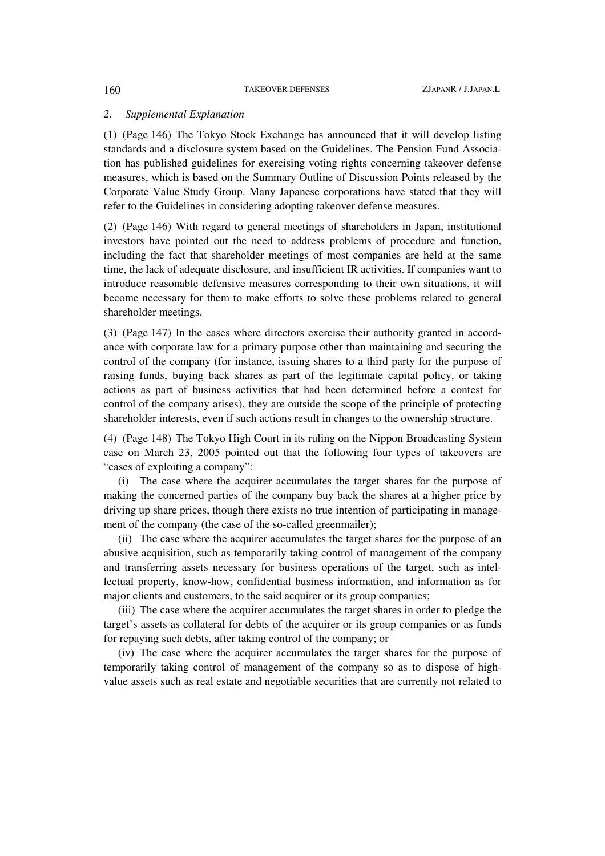## *2. Supplemental Explanation*

(1) (Page 146) The Tokyo Stock Exchange has announced that it will develop listing standards and a disclosure system based on the Guidelines. The Pension Fund Association has published guidelines for exercising voting rights concerning takeover defense measures, which is based on the Summary Outline of Discussion Points released by the Corporate Value Study Group. Many Japanese corporations have stated that they will refer to the Guidelines in considering adopting takeover defense measures.

(2) (Page 146) With regard to general meetings of shareholders in Japan, institutional investors have pointed out the need to address problems of procedure and function, including the fact that shareholder meetings of most companies are held at the same time, the lack of adequate disclosure, and insufficient IR activities. If companies want to introduce reasonable defensive measures corresponding to their own situations, it will become necessary for them to make efforts to solve these problems related to general shareholder meetings.

(3) (Page 147) In the cases where directors exercise their authority granted in accordance with corporate law for a primary purpose other than maintaining and securing the control of the company (for instance, issuing shares to a third party for the purpose of raising funds, buying back shares as part of the legitimate capital policy, or taking actions as part of business activities that had been determined before a contest for control of the company arises), they are outside the scope of the principle of protecting shareholder interests, even if such actions result in changes to the ownership structure.

(4) (Page 148) The Tokyo High Court in its ruling on the Nippon Broadcasting System case on March 23, 2005 pointed out that the following four types of takeovers are "cases of exploiting a company":

(i) The case where the acquirer accumulates the target shares for the purpose of making the concerned parties of the company buy back the shares at a higher price by driving up share prices, though there exists no true intention of participating in management of the company (the case of the so-called greenmailer);

(ii) The case where the acquirer accumulates the target shares for the purpose of an abusive acquisition, such as temporarily taking control of management of the company and transferring assets necessary for business operations of the target, such as intellectual property, know-how, confidential business information, and information as for major clients and customers, to the said acquirer or its group companies;

(iii) The case where the acquirer accumulates the target shares in order to pledge the target's assets as collateral for debts of the acquirer or its group companies or as funds for repaying such debts, after taking control of the company; or

(iv) The case where the acquirer accumulates the target shares for the purpose of temporarily taking control of management of the company so as to dispose of highvalue assets such as real estate and negotiable securities that are currently not related to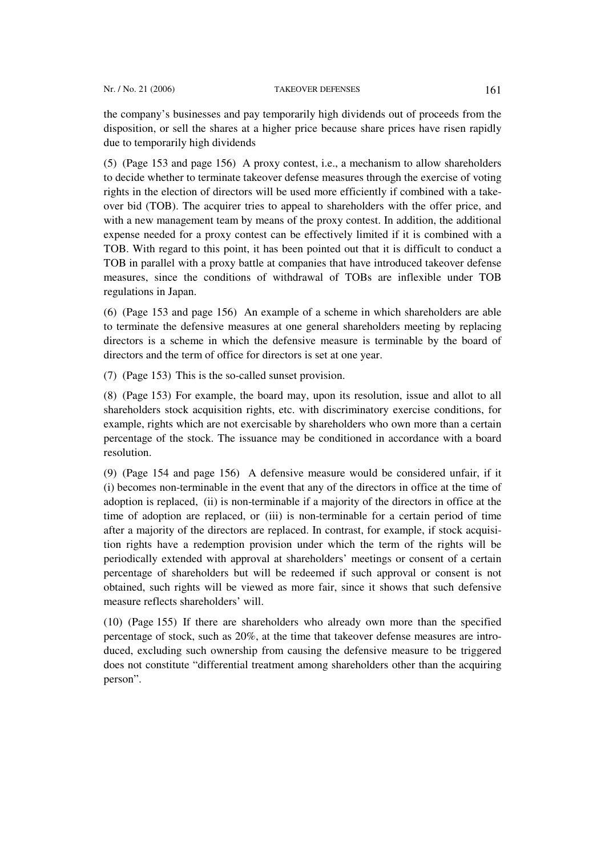the company's businesses and pay temporarily high dividends out of proceeds from the disposition, or sell the shares at a higher price because share prices have risen rapidly due to temporarily high dividends

(5) (Page 153 and page 156) A proxy contest, i.e., a mechanism to allow shareholders to decide whether to terminate takeover defense measures through the exercise of voting rights in the election of directors will be used more efficiently if combined with a takeover bid (TOB). The acquirer tries to appeal to shareholders with the offer price, and with a new management team by means of the proxy contest. In addition, the additional expense needed for a proxy contest can be effectively limited if it is combined with a TOB. With regard to this point, it has been pointed out that it is difficult to conduct a TOB in parallel with a proxy battle at companies that have introduced takeover defense measures, since the conditions of withdrawal of TOBs are inflexible under TOB regulations in Japan.

(6) (Page 153 and page 156) An example of a scheme in which shareholders are able to terminate the defensive measures at one general shareholders meeting by replacing directors is a scheme in which the defensive measure is terminable by the board of directors and the term of office for directors is set at one year.

(7) (Page 153) This is the so-called sunset provision.

(8) (Page 153) For example, the board may, upon its resolution, issue and allot to all shareholders stock acquisition rights, etc. with discriminatory exercise conditions, for example, rights which are not exercisable by shareholders who own more than a certain percentage of the stock. The issuance may be conditioned in accordance with a board resolution.

(9) (Page 154 and page 156) A defensive measure would be considered unfair, if it (i) becomes non-terminable in the event that any of the directors in office at the time of adoption is replaced, (ii) is non-terminable if a majority of the directors in office at the time of adoption are replaced, or (iii) is non-terminable for a certain period of time after a majority of the directors are replaced. In contrast, for example, if stock acquisition rights have a redemption provision under which the term of the rights will be periodically extended with approval at shareholders' meetings or consent of a certain percentage of shareholders but will be redeemed if such approval or consent is not obtained, such rights will be viewed as more fair, since it shows that such defensive measure reflects shareholders' will.

(10) (Page 155) If there are shareholders who already own more than the specified percentage of stock, such as 20%, at the time that takeover defense measures are introduced, excluding such ownership from causing the defensive measure to be triggered does not constitute "differential treatment among shareholders other than the acquiring person".